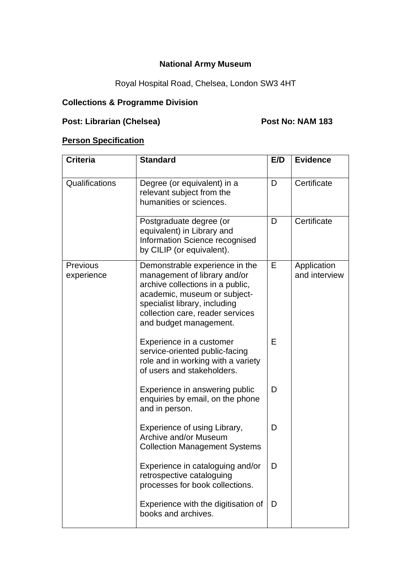## **National Army Museum**

# Royal Hospital Road, Chelsea, London SW3 4HT

## **Collections & Programme Division**

# **Post: Librarian (Chelsea) Post No: NAM 183**

#### **Person Specification**

| <b>Criteria</b>        | <b>Standard</b>                                                                                                                                                                                                                   | E/D | <b>Evidence</b>              |
|------------------------|-----------------------------------------------------------------------------------------------------------------------------------------------------------------------------------------------------------------------------------|-----|------------------------------|
| Qualifications         | Degree (or equivalent) in a<br>relevant subject from the<br>humanities or sciences.                                                                                                                                               | D   | Certificate                  |
|                        | Postgraduate degree (or<br>equivalent) in Library and<br>Information Science recognised<br>by CILIP (or equivalent).                                                                                                              | D   | Certificate                  |
| Previous<br>experience | Demonstrable experience in the<br>management of library and/or<br>archive collections in a public,<br>academic, museum or subject-<br>specialist library, including<br>collection care, reader services<br>and budget management. | Е   | Application<br>and interview |
|                        | Experience in a customer<br>service-oriented public-facing<br>role and in working with a variety<br>of users and stakeholders.                                                                                                    | E   |                              |
|                        | Experience in answering public<br>enquiries by email, on the phone<br>and in person.                                                                                                                                              | D   |                              |
|                        | Experience of using Library,<br>Archive and/or Museum<br><b>Collection Management Systems</b>                                                                                                                                     | D   |                              |
|                        | Experience in cataloguing and/or<br>retrospective cataloguing<br>processes for book collections.                                                                                                                                  | D   |                              |
|                        | Experience with the digitisation of<br>books and archives.                                                                                                                                                                        | D   |                              |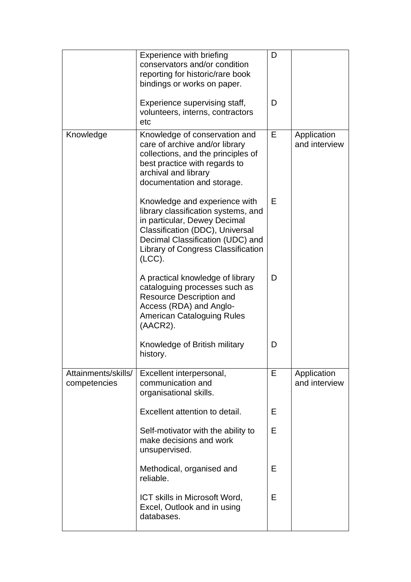|                                     | Experience with briefing<br>conservators and/or condition<br>reporting for historic/rare book<br>bindings or works on paper.                                                                                                       | D |                              |
|-------------------------------------|------------------------------------------------------------------------------------------------------------------------------------------------------------------------------------------------------------------------------------|---|------------------------------|
|                                     | Experience supervising staff,<br>volunteers, interns, contractors<br>etc                                                                                                                                                           | D |                              |
| Knowledge                           | Knowledge of conservation and<br>care of archive and/or library<br>collections, and the principles of<br>best practice with regards to<br>archival and library<br>documentation and storage.                                       | Е | Application<br>and interview |
|                                     | Knowledge and experience with<br>library classification systems, and<br>in particular, Dewey Decimal<br>Classification (DDC), Universal<br>Decimal Classification (UDC) and<br><b>Library of Congress Classification</b><br>(ICC). | Е |                              |
|                                     | A practical knowledge of library<br>cataloguing processes such as<br><b>Resource Description and</b><br>Access (RDA) and Anglo-<br><b>American Cataloguing Rules</b><br>(AACR2).                                                   | D |                              |
|                                     | Knowledge of British military<br>history.                                                                                                                                                                                          | D |                              |
| Attainments/skills/<br>competencies | Excellent interpersonal,<br>communication and<br>organisational skills.                                                                                                                                                            | Е | Application<br>and interview |
|                                     | Excellent attention to detail.                                                                                                                                                                                                     | Е |                              |
|                                     | Self-motivator with the ability to<br>make decisions and work<br>unsupervised.                                                                                                                                                     | Е |                              |
|                                     | Methodical, organised and<br>reliable.                                                                                                                                                                                             | E |                              |
|                                     | ICT skills in Microsoft Word,<br>Excel, Outlook and in using<br>databases.                                                                                                                                                         | Е |                              |